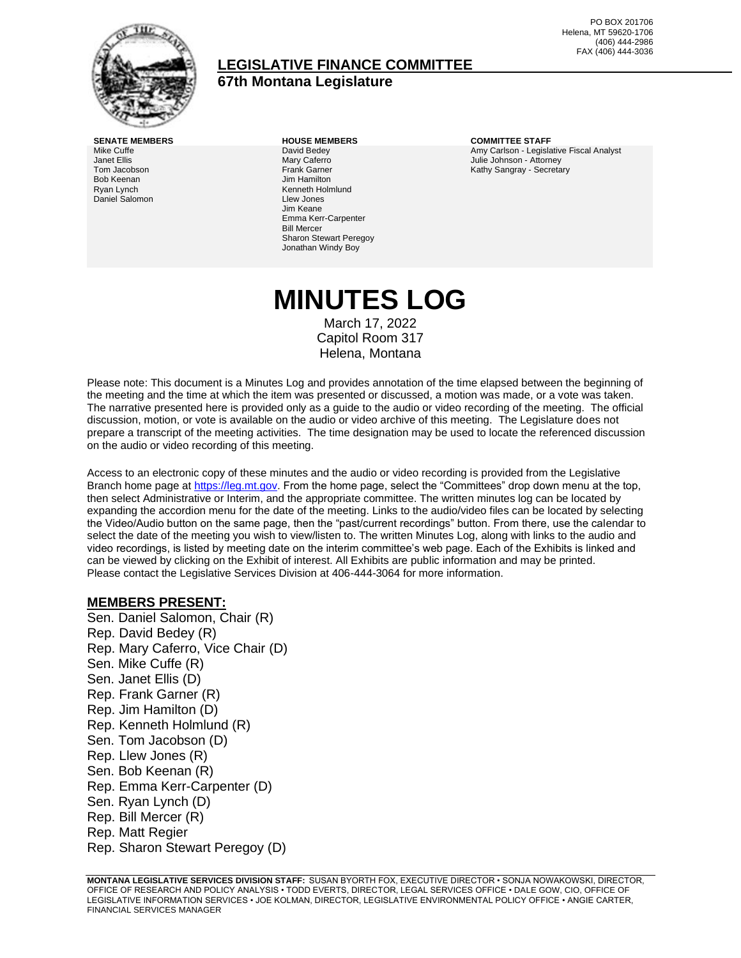

## **LEGISLATIVE FINANCE COMMITTEE 67th Montana Legislature**

PO BOX 201706 Helena, MT 59620-1706 (406) 444-2986 FAX (406) 444-3036

Mike Cuffe Janet Ellis Tom Jacobson Bob Keenan Ryan Lynch Daniel Salomon David Bedey Mary Caferro Frank Garner Jim Hamilton Kenneth Holmlund Llew Jones Jim Keane Emma Kerr-Carpenter Bill Mercer Sharon Stewart Peregoy Jonathan Windy Boy

**SENATE MEMBERS HOUSE MEMBERS COMMITTEE STAFF** Amy Carlson - Legislative Fiscal Analyst Julie Johnson - Attorney Kathy Sangray - Secretary

# **MINUTES LOG**

March 17, 2022 Capitol Room 317 Helena, Montana

Please note: This document is a Minutes Log and provides annotation of the time elapsed between the beginning of the meeting and the time at which the item was presented or discussed, a motion was made, or a vote was taken. The narrative presented here is provided only as a guide to the audio or video recording of the meeting. The official discussion, motion, or vote is available on the audio or video archive of this meeting. The Legislature does not prepare a transcript of the meeting activities. The time designation may be used to locate the referenced discussion on the audio or video recording of this meeting.

Access to an electronic copy of these minutes and the audio or video recording is provided from the Legislative Branch home page a[t https://leg.mt.gov.](http://legmt.gov/) From the home page, select the "Committees" drop down menu at the top, then select Administrative or Interim, and the appropriate committee. The written minutes log can be located by expanding the accordion menu for the date of the meeting. Links to the audio/video files can be located by selecting the Video/Audio button on the same page, then the "past/current recordings" button. From there, use the calendar to select the date of the meeting you wish to view/listen to. The written Minutes Log, along with links to the audio and video recordings, is listed by meeting date on the interim committee's web page. Each of the Exhibits is linked and can be viewed by clicking on the Exhibit of interest. All Exhibits are public information and may be printed. Please contact the Legislative Services Division at 406-444-3064 for more information.

#### **MEMBERS PRESENT:**

Sen. Daniel Salomon, Chair (R) Rep. David Bedey (R) Rep. Mary Caferro, Vice Chair (D) Sen. Mike Cuffe (R) Sen. Janet Ellis (D) Rep. Frank Garner (R) Rep. Jim Hamilton (D) Rep. Kenneth Holmlund (R) Sen. Tom Jacobson (D) Rep. Llew Jones (R) Sen. Bob Keenan (R) Rep. Emma Kerr-Carpenter (D) Sen. Ryan Lynch (D) Rep. Bill Mercer (R) Rep. Matt Regier Rep. Sharon Stewart Peregoy (D)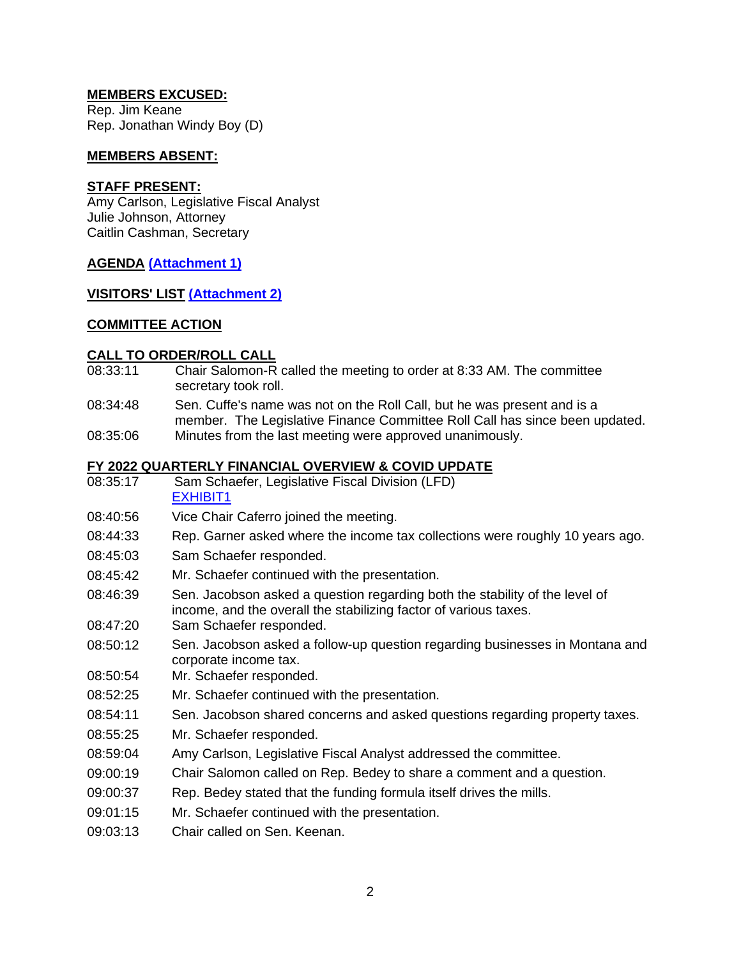## **MEMBERS EXCUSED:**

Rep. Jim Keane Rep. Jonathan Windy Boy (D)

#### **MEMBERS ABSENT:**

#### **STAFF PRESENT:**

Amy Carlson, Legislative Fiscal Analyst Julie Johnson, Attorney Caitlin Cashman, Secretary

# **AGENDA [\(Attachment 1\)](http://legmt.gov/)**

## **VISITORS' LIST [\(Attachment 2\)](http://legmt.gov/)**

## **COMMITTEE ACTION**

### **CALL TO ORDER/ROLL CALL**

- 08:33:11 Chair Salomon-R called the meeting to order at 8:33 AM. The committee secretary took roll.
- 08:34:48 Sen. Cuffe's name was not on the Roll Call, but he was present and is a member. The Legislative Finance Committee Roll Call has since been updated.
- 08:35:06 Minutes from the last meeting were approved unanimously.

### **FY 2022 QUARTERLY FINANCIAL OVERVIEW & COVID UPDATE**

- 08:35:17 Sam Schaefer, Legislative Fiscal Division (LFD) [EXHIBIT1](https://leg.mt.gov/content/publications/fiscal/2023-Interim/March-2022/Quarterly-Financial-Overview.pdf)
- 08:40:56 Vice Chair Caferro joined the meeting.
- 08:44:33 Rep. Garner asked where the income tax collections were roughly 10 years ago.
- 08:45:03 Sam Schaefer responded.
- 08:45:42 Mr. Schaefer continued with the presentation.
- 08:46:39 Sen. Jacobson asked a question regarding both the stability of the level of income, and the overall the stabilizing factor of various taxes.
- 08:47:20 Sam Schaefer responded.
- 08:50:12 Sen. Jacobson asked a follow-up question regarding businesses in Montana and corporate income tax.
- 08:50:54 Mr. Schaefer responded.
- 08:52:25 Mr. Schaefer continued with the presentation.
- 08:54:11 Sen. Jacobson shared concerns and asked questions regarding property taxes.
- 08:55:25 Mr. Schaefer responded.
- 08:59:04 Amy Carlson, Legislative Fiscal Analyst addressed the committee.
- 09:00:19 Chair Salomon called on Rep. Bedey to share a comment and a question.
- 09:00:37 Rep. Bedey stated that the funding formula itself drives the mills.
- 09:01:15 Mr. Schaefer continued with the presentation.
- 09:03:13 Chair called on Sen. Keenan.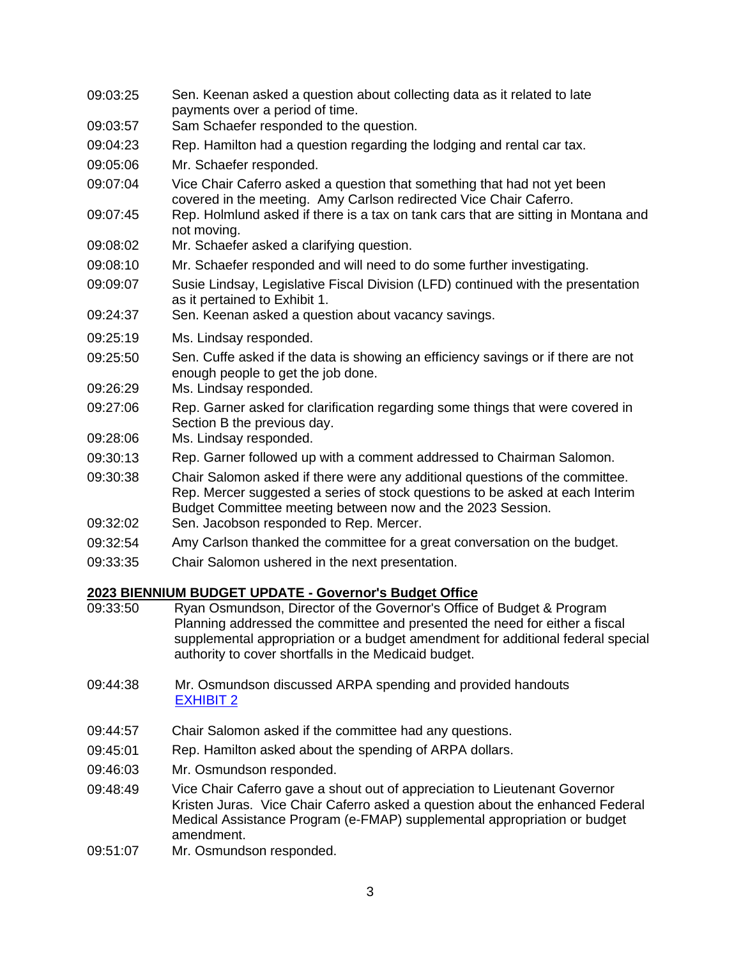| 09:03:25 | Sen. Keenan asked a question about collecting data as it related to late<br>payments over a period of time.                                                                                                                                                                                      |
|----------|--------------------------------------------------------------------------------------------------------------------------------------------------------------------------------------------------------------------------------------------------------------------------------------------------|
| 09:03:57 | Sam Schaefer responded to the question.                                                                                                                                                                                                                                                          |
| 09:04:23 | Rep. Hamilton had a question regarding the lodging and rental car tax.                                                                                                                                                                                                                           |
| 09:05:06 | Mr. Schaefer responded.                                                                                                                                                                                                                                                                          |
| 09:07:04 | Vice Chair Caferro asked a question that something that had not yet been<br>covered in the meeting. Amy Carlson redirected Vice Chair Caferro.                                                                                                                                                   |
| 09:07:45 | Rep. Holmlund asked if there is a tax on tank cars that are sitting in Montana and<br>not moving.                                                                                                                                                                                                |
| 09:08:02 | Mr. Schaefer asked a clarifying question.                                                                                                                                                                                                                                                        |
| 09:08:10 | Mr. Schaefer responded and will need to do some further investigating.                                                                                                                                                                                                                           |
| 09:09:07 | Susie Lindsay, Legislative Fiscal Division (LFD) continued with the presentation<br>as it pertained to Exhibit 1.                                                                                                                                                                                |
| 09:24:37 | Sen. Keenan asked a question about vacancy savings.                                                                                                                                                                                                                                              |
| 09:25:19 | Ms. Lindsay responded.                                                                                                                                                                                                                                                                           |
| 09:25:50 | Sen. Cuffe asked if the data is showing an efficiency savings or if there are not<br>enough people to get the job done.                                                                                                                                                                          |
| 09:26:29 | Ms. Lindsay responded.                                                                                                                                                                                                                                                                           |
| 09:27:06 | Rep. Garner asked for clarification regarding some things that were covered in<br>Section B the previous day.                                                                                                                                                                                    |
| 09:28:06 | Ms. Lindsay responded.                                                                                                                                                                                                                                                                           |
| 09:30:13 | Rep. Garner followed up with a comment addressed to Chairman Salomon.                                                                                                                                                                                                                            |
| 09:30:38 | Chair Salomon asked if there were any additional questions of the committee.<br>Rep. Mercer suggested a series of stock questions to be asked at each Interim<br>Budget Committee meeting between now and the 2023 Session.                                                                      |
| 09:32:02 | Sen. Jacobson responded to Rep. Mercer.                                                                                                                                                                                                                                                          |
| 09:32:54 | Amy Carlson thanked the committee for a great conversation on the budget.                                                                                                                                                                                                                        |
| 09:33:35 | Chair Salomon ushered in the next presentation.                                                                                                                                                                                                                                                  |
|          | 2023 BIENNIUM BUDGET UPDATE - Governor's Budget Office                                                                                                                                                                                                                                           |
| 09:33:50 | Ryan Osmundson, Director of the Governor's Office of Budget & Program<br>Planning addressed the committee and presented the need for either a fiscal<br>supplemental appropriation or a budget amendment for additional federal special<br>authority to cover shortfalls in the Medicaid budget. |

- 09:44:38 Mr. Osmundson discussed ARPA spending and provided handouts [EXHIBIT 2](https://leg.mt.gov/content/publications/fiscal/2023-Interim/March-2022/OBPP-JA.pdf)
- 09:44:57 Chair Salomon asked if the committee had any questions.
- 09:45:01 Rep. Hamilton asked about the spending of ARPA dollars.
- 09:46:03 Mr. Osmundson responded.
- 09:48:49 Vice Chair Caferro gave a shout out of appreciation to Lieutenant Governor Kristen Juras. Vice Chair Caferro asked a question about the enhanced Federal Medical Assistance Program (e-FMAP) supplemental appropriation or budget amendment.
- 09:51:07 Mr. Osmundson responded.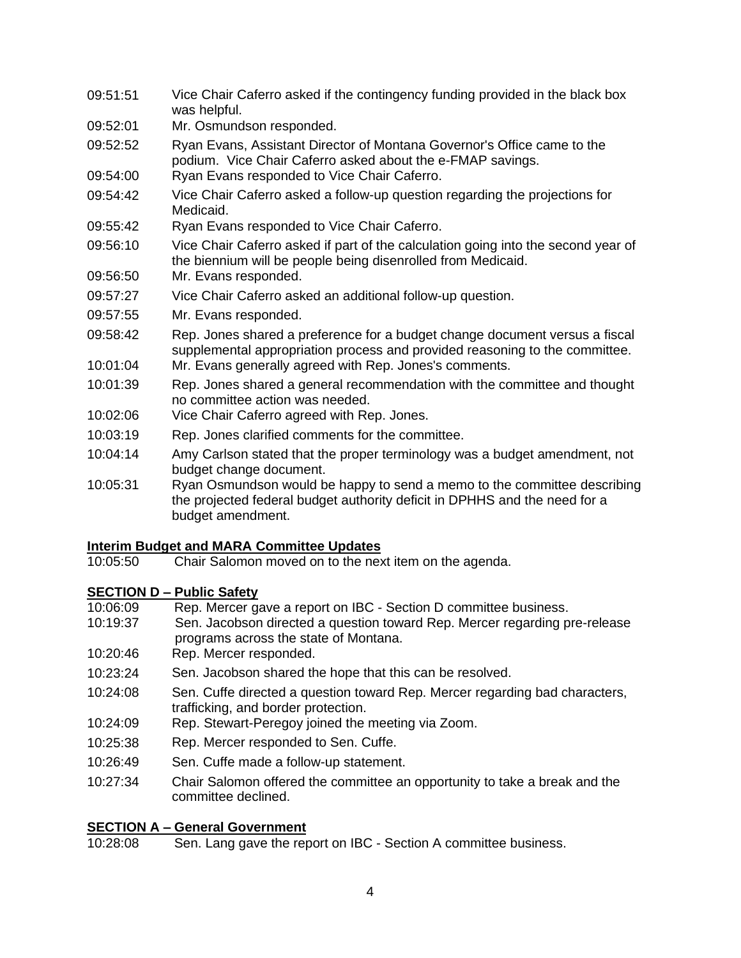- 09:51:51 Vice Chair Caferro asked if the contingency funding provided in the black box was helpful.
- 09:52:01 Mr. Osmundson responded.
- 09:52:52 Ryan Evans, Assistant Director of Montana Governor's Office came to the podium. Vice Chair Caferro asked about the e-FMAP savings.
- 09:54:00 Ryan Evans responded to Vice Chair Caferro.
- 09:54:42 Vice Chair Caferro asked a follow-up question regarding the projections for Medicaid.
- 09:55:42 Ryan Evans responded to Vice Chair Caferro.
- 09:56:10 Vice Chair Caferro asked if part of the calculation going into the second year of the biennium will be people being disenrolled from Medicaid.
- 09:56:50 Mr. Evans responded.
- 09:57:27 Vice Chair Caferro asked an additional follow-up question.
- 09:57:55 Mr. Evans responded.
- 09:58:42 Rep. Jones shared a preference for a budget change document versus a fiscal supplemental appropriation process and provided reasoning to the committee.
- 10:01:04 Mr. Evans generally agreed with Rep. Jones's comments.
- 10:01:39 Rep. Jones shared a general recommendation with the committee and thought no committee action was needed.
- 10:02:06 Vice Chair Caferro agreed with Rep. Jones.
- 10:03:19 Rep. Jones clarified comments for the committee.
- 10:04:14 Amy Carlson stated that the proper terminology was a budget amendment, not budget change document.
- 10:05:31 Ryan Osmundson would be happy to send a memo to the committee describing the projected federal budget authority deficit in DPHHS and the need for a budget amendment.

# **Interim Budget and MARA Committee Updates**

Chair Salomon moved on to the next item on the agenda.

# **SECTION D – Public Safety**

- 10:06:09 Rep. Mercer gave a report on IBC Section D committee business.
- 10:19:37 Sen. Jacobson directed a question toward Rep. Mercer regarding pre-release programs across the state of Montana.
- 10:20:46 Rep. Mercer responded.
- 10:23:24 Sen. Jacobson shared the hope that this can be resolved.
- 10:24:08 Sen. Cuffe directed a question toward Rep. Mercer regarding bad characters, trafficking, and border protection.
- 10:24:09 Rep. Stewart-Peregoy joined the meeting via Zoom.
- 10:25:38 Rep. Mercer responded to Sen. Cuffe.
- 10:26:49 Sen. Cuffe made a follow-up statement.
- 10:27:34 Chair Salomon offered the committee an opportunity to take a break and the committee declined.

# **SECTION A – General Government**<br>10:28:08 **Sen. Lang gave the rep**

Sen. Lang gave the report on IBC - Section A committee business.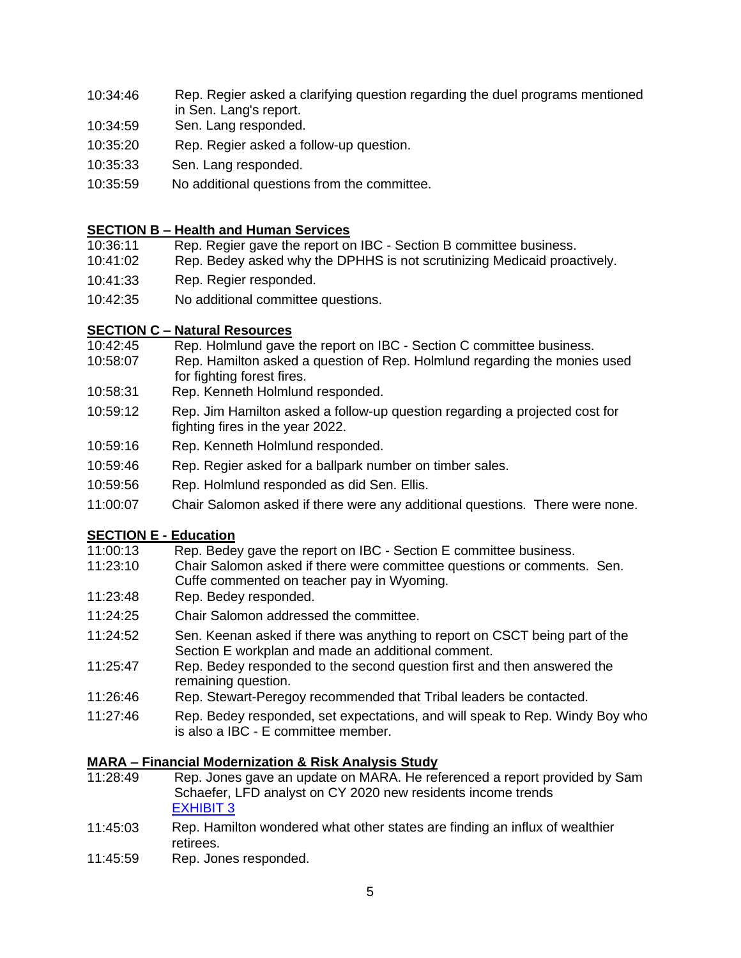- 10:34:46 Rep. Regier asked a clarifying question regarding the duel programs mentioned in Sen. Lang's report.
- 10:34:59 Sen. Lang responded.
- 10:35:20 Rep. Regier asked a follow-up question.
- 10:35:33 Sen. Lang responded.
- 10:35:59 No additional questions from the committee.

## **SECTION B – Health and Human Services**

- 10:36:11 Rep. Regier gave the report on IBC Section B committee business.
- 10:41:02 Rep. Bedey asked why the DPHHS is not scrutinizing Medicaid proactively.
- 10:41:33 Rep. Regier responded.
- 10:42:35 No additional committee questions.

# **SECTION C – Natural Resources**

- 10:42:45 Rep. Holmlund gave the report on IBC Section C committee business.
- 10:58:07 Rep. Hamilton asked a question of Rep. Holmlund regarding the monies used for fighting forest fires.
- 10:58:31 Rep. Kenneth Holmlund responded.
- 10:59:12 Rep. Jim Hamilton asked a follow-up question regarding a projected cost for fighting fires in the year 2022.
- 10:59:16 Rep. Kenneth Holmlund responded.
- 10:59:46 Rep. Regier asked for a ballpark number on timber sales.
- 10:59:56 Rep. Holmlund responded as did Sen. Ellis.
- 11:00:07 Chair Salomon asked if there were any additional questions. There were none.

# **SECTION E - Education**

- 11:00:13 Rep. Bedey gave the report on IBC Section E committee business.
- 11:23:10 Chair Salomon asked if there were committee questions or comments. Sen. Cuffe commented on teacher pay in Wyoming.
- 11:23:48 Rep. Bedey responded.
- 11:24:25 Chair Salomon addressed the committee.
- 11:24:52 Sen. Keenan asked if there was anything to report on CSCT being part of the Section E workplan and made an additional comment.
- 11:25:47 Rep. Bedey responded to the second question first and then answered the remaining question.
- 11:26:46 Rep. Stewart-Peregoy recommended that Tribal leaders be contacted.
- 11:27:46 Rep. Bedey responded, set expectations, and will speak to Rep. Windy Boy who is also a IBC - E committee member.

# **MARA – Financial Modernization & Risk Analysis Study**

- 11:28:49 Rep. Jones gave an update on MARA. He referenced a report provided by Sam Schaefer, LFD analyst on CY 2020 new residents income trends [EXHIBIT](https://leg.mt.gov/content/publications/fiscal/2023-Interim/March-2022/mara-march-2022.pdf) 3
- 11:45:03 Rep. Hamilton wondered what other states are finding an influx of wealthier retirees.
- 11:45:59 Rep. Jones responded.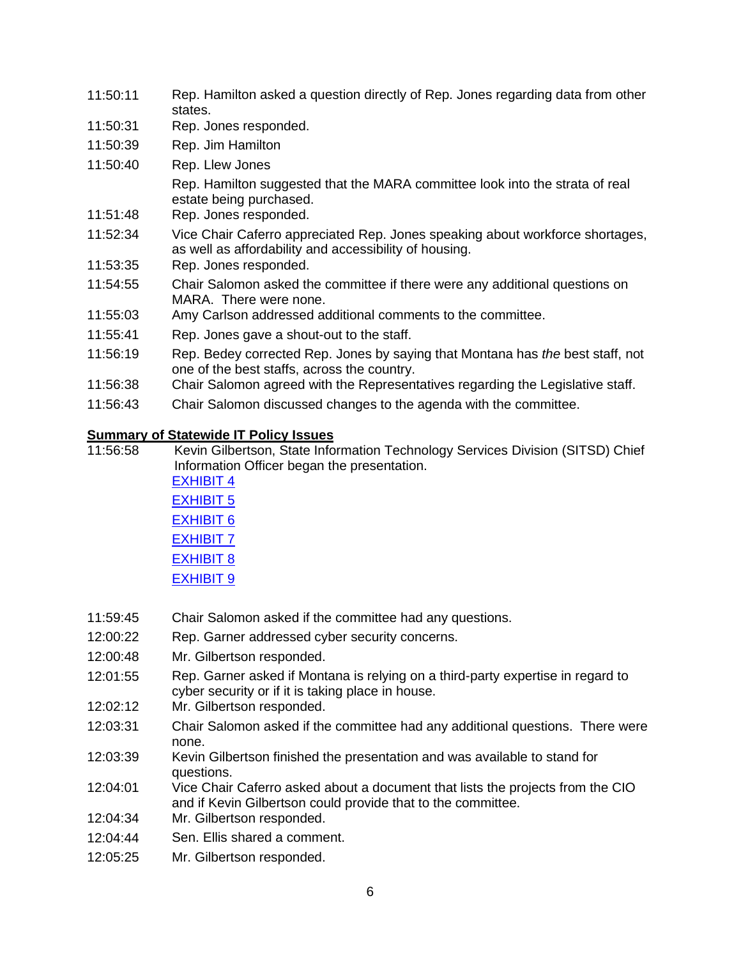| 11:50:11 | Rep. Hamilton asked a question directly of Rep. Jones regarding data from other<br>states.                                              |
|----------|-----------------------------------------------------------------------------------------------------------------------------------------|
| 11:50:31 | Rep. Jones responded.                                                                                                                   |
| 11:50:39 | Rep. Jim Hamilton                                                                                                                       |
| 11:50:40 | Rep. Llew Jones                                                                                                                         |
| 11:51:48 | Rep. Hamilton suggested that the MARA committee look into the strata of real<br>estate being purchased.<br>Rep. Jones responded.        |
| 11:52:34 | Vice Chair Caferro appreciated Rep. Jones speaking about workforce shortages,<br>as well as affordability and accessibility of housing. |
| 11:53:35 | Rep. Jones responded.                                                                                                                   |
| 11:54:55 | Chair Salomon asked the committee if there were any additional questions on<br>MARA. There were none.                                   |
| 11:55:03 | Amy Carlson addressed additional comments to the committee.                                                                             |
| 11:55:41 | Rep. Jones gave a shout-out to the staff.                                                                                               |
| 11:56:19 | Rep. Bedey corrected Rep. Jones by saying that Montana has the best staff, not<br>one of the best staffs, across the country.           |
| 11:56:38 | Chair Salomon agreed with the Representatives regarding the Legislative staff.                                                          |
| 11:56:43 | Chair Salomon discussed changes to the agenda with the committee.                                                                       |

# **Summary of Statewide IT Policy Issues**

Kevin Gilbertson, State Information Technology Services Division (SITSD) Chief Information Officer began the presentation. [EXHIBIT](https://leg.mt.gov/content/publications/fiscal/2023-Interim/March-2022/InformationTechnologyPortfolio_March2022.pdf) 4 [EXHIBIT](https://dataportal.mt.gov/t/LEGFinanceCommittee/views/LFCReports/LFCLandingPage?iframeSizedToWindow=true&%3Aembed=y&%3Atabs=n&%3AshowAppBanner=false&%3Adisplay_count=no&%3AshowVizHome=no&%3Aorigin=viz_share_link) 5 [EXHIBIT](https://leg.mt.gov/content/publications/fiscal/2023-Interim/March-2022/21-22-CIO-Report-Q2.pdf) 6 [EXHIBIT](https://leg.mt.gov/content/publications/fiscal/2023-Interim/March-2022/21-22Project-Portfolio-Summary-Q2.pdf)<sub>7</sub>

- [EXHIBIT](https://leg.mt.gov/content/publications/fiscal/2023-Interim/March-2022/Agency-QuarterlyIT-Procurement-Summary-October-December-2021.pdf) 8 **[EXHIBIT](https://leg.mt.gov/content/publications/fiscal/2023-Interim/March-2022/2022-Draft-Strategic-Plan-Goals_Objectives.pdf) 9**
- 11:59:45 Chair Salomon asked if the committee had any questions.
- 12:00:22 Rep. Garner addressed cyber security concerns.
- 12:00:48 Mr. Gilbertson responded.
- 12:01:55 Rep. Garner asked if Montana is relying on a third-party expertise in regard to cyber security or if it is taking place in house.
- 12:02:12 Mr. Gilbertson responded.
- 12:03:31 Chair Salomon asked if the committee had any additional questions. There were none.
- 12:03:39 Kevin Gilbertson finished the presentation and was available to stand for questions.
- 12:04:01 Vice Chair Caferro asked about a document that lists the projects from the CIO and if Kevin Gilbertson could provide that to the committee.
- 12:04:34 Mr. Gilbertson responded.
- 12:04:44 Sen. Ellis shared a comment.
- 12:05:25 Mr. Gilbertson responded.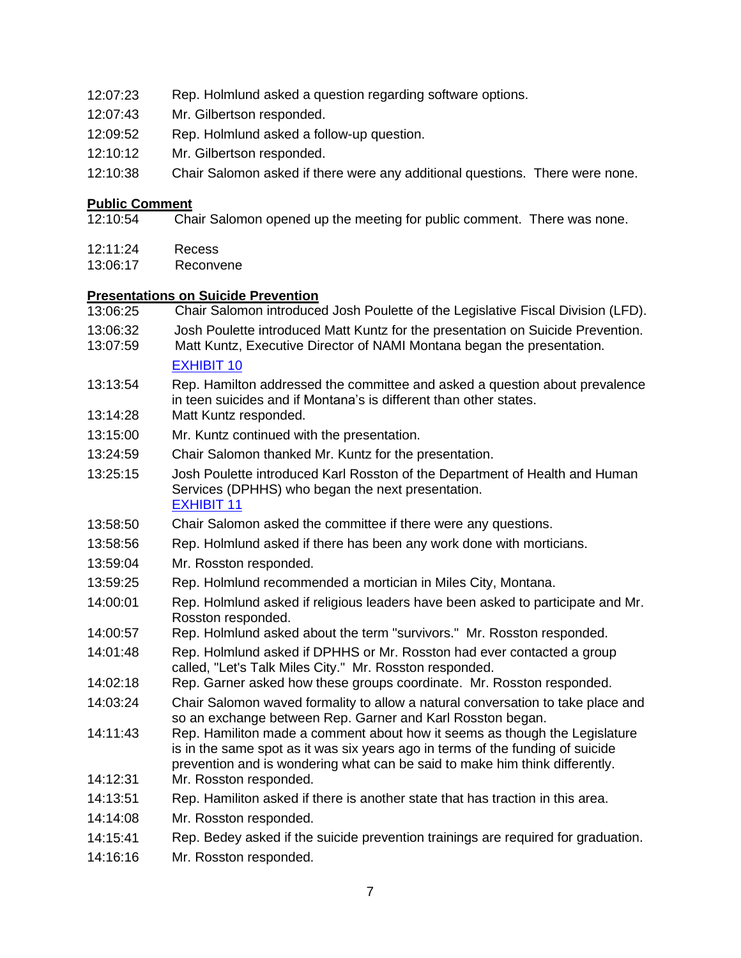- 12:07:23 Rep. Holmlund asked a question regarding software options.
- 12:07:43 Mr. Gilbertson responded.
- 12:09:52 Rep. Holmlund asked a follow-up question.
- 12:10:12 Mr. Gilbertson responded.
- 12:10:38 Chair Salomon asked if there were any additional questions. There were none.

#### **Public Comment**

- 12:10:54 Chair Salomon opened up the meeting for public comment. There was none.
- 12:11:24 Recess
- 13:06:17 Reconvene

### **Presentations on Suicide Prevention**

- 13:06:25 Chair Salomon introduced Josh Poulette of the Legislative Fiscal Division (LFD).
- 13:06:32 Josh Poulette introduced Matt Kuntz for the presentation on Suicide Prevention.
- 13:07:59 Matt Kuntz, Executive Director of NAMI Montana began the presentation.

```
EXHIBIT 10
```
- 13:13:54 Rep. Hamilton addressed the committee and asked a question about prevalence in teen suicides and if Montana's is different than other states.
- 13:14:28 Matt Kuntz responded.
- 13:15:00 Mr. Kuntz continued with the presentation.
- 13:24:59 Chair Salomon thanked Mr. Kuntz for the presentation.
- 13:25:15 Josh Poulette introduced Karl Rosston of the Department of Health and Human Services (DPHHS) who began the next presentation. [EXHIBIT](https://leg.mt.gov/content/publications/fiscal/2023-Interim/March-2022/DPHHS-Suicide-Prevention.pdf) 11
- 13:58:50 Chair Salomon asked the committee if there were any questions.
- 13:58:56 Rep. Holmlund asked if there has been any work done with morticians.
- 13:59:04 Mr. Rosston responded.
- 13:59:25 Rep. Holmlund recommended a mortician in Miles City, Montana.
- 14:00:01 Rep. Holmlund asked if religious leaders have been asked to participate and Mr. Rosston responded.
- 14:00:57 Rep. Holmlund asked about the term "survivors." Mr. Rosston responded.
- 14:01:48 Rep. Holmlund asked if DPHHS or Mr. Rosston had ever contacted a group called, "Let's Talk Miles City." Mr. Rosston responded.
- 14:02:18 Rep. Garner asked how these groups coordinate. Mr. Rosston responded.
- 14:03:24 Chair Salomon waved formality to allow a natural conversation to take place and so an exchange between Rep. Garner and Karl Rosston began.
- 14:11:43 Rep. Hamiliton made a comment about how it seems as though the Legislature is in the same spot as it was six years ago in terms of the funding of suicide prevention and is wondering what can be said to make him think differently.
- 14:12:31 Mr. Rosston responded.
- 14:13:51 Rep. Hamiliton asked if there is another state that has traction in this area.
- 14:14:08 Mr. Rosston responded.
- 14:15:41 Rep. Bedey asked if the suicide prevention trainings are required for graduation.
- 14:16:16 Mr. Rosston responded.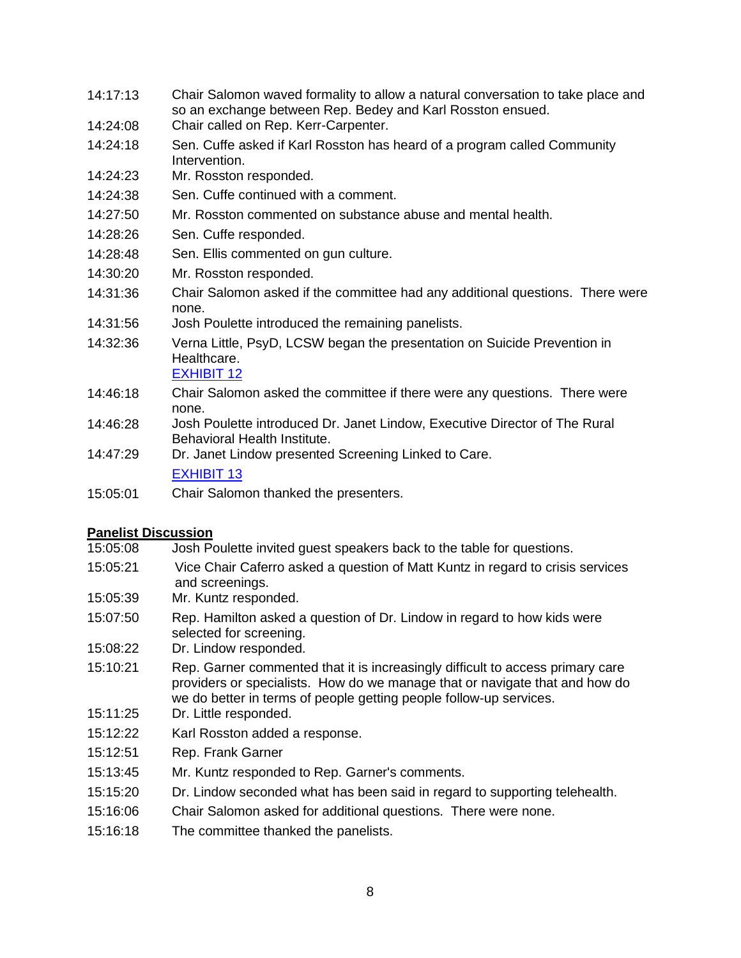- 14:17:13 Chair Salomon waved formality to allow a natural conversation to take place and so an exchange between Rep. Bedey and Karl Rosston ensued.
- 14:24:08 Chair called on Rep. Kerr-Carpenter.
- 14:24:18 Sen. Cuffe asked if Karl Rosston has heard of a program called Community Intervention.
- 14:24:23 Mr. Rosston responded.
- 14:24:38 Sen. Cuffe continued with a comment.
- 14:27:50 Mr. Rosston commented on substance abuse and mental health.
- 14:28:26 Sen. Cuffe responded.
- 14:28:48 Sen. Ellis commented on gun culture.
- 14:30:20 Mr. Rosston responded.
- 14:31:36 Chair Salomon asked if the committee had any additional questions. There were none.
- 14:31:56 Josh Poulette introduced the remaining panelists.
- 14:32:36 Verna Little, PsyD, LCSW began the presentation on Suicide Prevention in Healthcare.

[EXHIBIT](https://leg.mt.gov/content/publications/fiscal/2023-Interim/March-2022/Montanaleg.pdf) 12

- 14:46:18 Chair Salomon asked the committee if there were any questions. There were none.
- 14:46:28 Josh Poulette introduced Dr. Janet Lindow, Executive Director of The Rural Behavioral Health Institute.
- 14:47:29 Dr. Janet Lindow presented Screening Linked to Care.

[EXHIBIT](https://leg.mt.gov/content/publications/fiscal/2023-Interim/March-2022/2022_03_15b_SLTC-presentation-to-MT-State-Finance-Committee.pdf) 13

15:05:01 Chair Salomon thanked the presenters.

## **Panelist Discussion**

- 15:05:08 Josh Poulette invited guest speakers back to the table for questions.
- 15:05:21 Vice Chair Caferro asked a question of Matt Kuntz in regard to crisis services and screenings.
- 15:05:39 Mr. Kuntz responded.
- 15:07:50 Rep. Hamilton asked a question of Dr. Lindow in regard to how kids were selected for screening.
- 15:08:22 Dr. Lindow responded.
- 15:10:21 Rep. Garner commented that it is increasingly difficult to access primary care providers or specialists. How do we manage that or navigate that and how do we do better in terms of people getting people follow-up services.
- 15:11:25 Dr. Little responded.
- 15:12:22 Karl Rosston added a response.
- 15:12:51 Rep. Frank Garner
- 15:13:45 Mr. Kuntz responded to Rep. Garner's comments.
- 15:15:20 Dr. Lindow seconded what has been said in regard to supporting telehealth.
- 15:16:06 Chair Salomon asked for additional questions. There were none.
- 15:16:18 The committee thanked the panelists.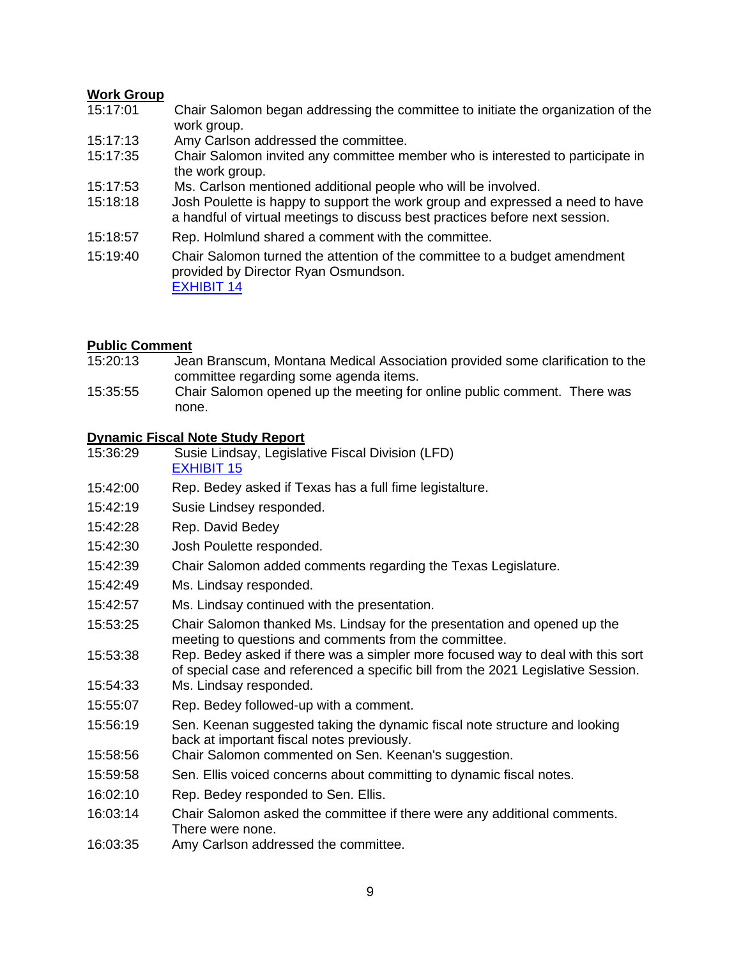## **Work Group**

- 15:17:01 Chair Salomon began addressing the committee to initiate the organization of the work group.
- 15:17:13 Amy Carlson addressed the committee.
- 15:17:35 Chair Salomon invited any committee member who is interested to participate in the work group.
- 15:17:53 Ms. Carlson mentioned additional people who will be involved.
- 15:18:18 Josh Poulette is happy to support the work group and expressed a need to have a handful of virtual meetings to discuss best practices before next session.
- 15:18:57 Rep. Holmlund shared a comment with the committee.
- 15:19:40 Chair Salomon turned the attention of the committee to a budget amendment provided by Director Ryan Osmundson. [EXHIBIT](https://leg.mt.gov/content/publications/fiscal/2023-Interim/March-2022/HHS-Deficit-Memo-to-LFC.pdf) 14

### **Public Comment**

- 15:20:13 Jean Branscum, Montana Medical Association provided some clarification to the committee regarding some agenda items.
- 15:35:55 Chair Salomon opened up the meeting for online public comment. There was none.

# **Dynamic Fiscal Note Study Report**

- Susie Lindsay, Legislative Fiscal Division (LFD) [EXHIBIT](https://leg.mt.gov/content/publications/fiscal/2023-Interim/March-2022/FINAL-Dynamic-Fiscal-Notes-Study.pdf) 15
- 15:42:00 Rep. Bedey asked if Texas has a full fime legistalture.
- 15:42:19 Susie Lindsey responded.
- 15:42:28 Rep. David Bedey
- 15:42:30 Josh Poulette responded.
- 15:42:39 Chair Salomon added comments regarding the Texas Legislature.
- 15:42:49 Ms. Lindsay responded.
- 15:42:57 Ms. Lindsay continued with the presentation.
- 15:53:25 Chair Salomon thanked Ms. Lindsay for the presentation and opened up the meeting to questions and comments from the committee.
- 15:53:38 Rep. Bedey asked if there was a simpler more focused way to deal with this sort of special case and referenced a specific bill from the 2021 Legislative Session.
- 15:54:33 Ms. Lindsay responded.
- 15:55:07 Rep. Bedey followed-up with a comment.
- 15:56:19 Sen. Keenan suggested taking the dynamic fiscal note structure and looking back at important fiscal notes previously.
- 15:58:56 Chair Salomon commented on Sen. Keenan's suggestion.
- 15:59:58 Sen. Ellis voiced concerns about committing to dynamic fiscal notes.
- 16:02:10 Rep. Bedey responded to Sen. Ellis.
- 16:03:14 Chair Salomon asked the committee if there were any additional comments. There were none.
- 16:03:35 Amy Carlson addressed the committee.